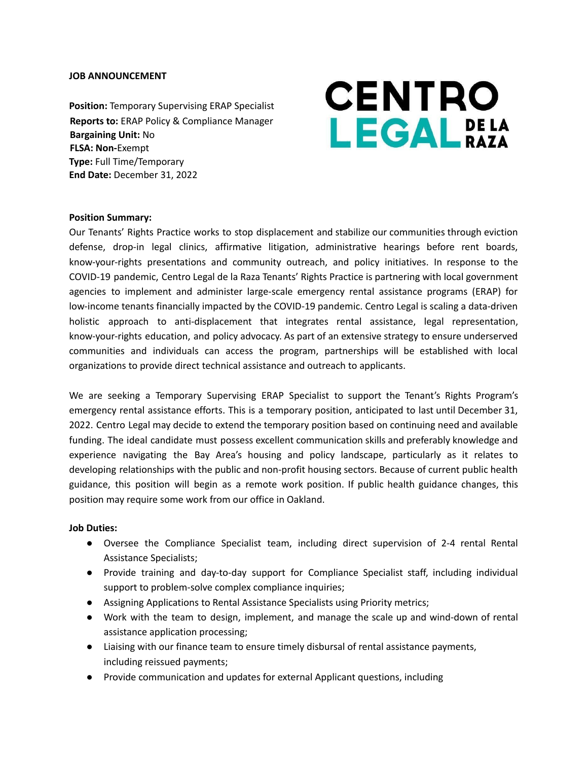#### **JOB ANNOUNCEMENT**

**Position:** Temporary Supervising ERAP Specialist **Reports to:** ERAP Policy & Compliance Manager **Bargaining Unit:** No **FLSA: Non-**Exempt **Type:** Full Time/Temporary **End Date:** December 31, 2022

# **CENTRO LEGAL** DE LA

#### **Position Summary:**

Our Tenants' Rights Practice works to stop displacement and stabilize our communities through eviction defense, drop-in legal clinics, affirmative litigation, administrative hearings before rent boards, know-your-rights presentations and community outreach, and policy initiatives. In response to the COVID-19 pandemic, Centro Legal de la Raza Tenants' Rights Practice is partnering with local government agencies to implement and administer large-scale emergency rental assistance programs (ERAP) for low-income tenants financially impacted by the COVID-19 pandemic. Centro Legal is scaling a data-driven holistic approach to anti-displacement that integrates rental assistance, legal representation, know-your-rights education, and policy advocacy. As part of an extensive strategy to ensure underserved communities and individuals can access the program, partnerships will be established with local organizations to provide direct technical assistance and outreach to applicants.

We are seeking a Temporary Supervising ERAP Specialist to support the Tenant's Rights Program's emergency rental assistance efforts. This is a temporary position, anticipated to last until December 31, 2022. Centro Legal may decide to extend the temporary position based on continuing need and available funding. The ideal candidate must possess excellent communication skills and preferably knowledge and experience navigating the Bay Area's housing and policy landscape, particularly as it relates to developing relationships with the public and non-profit housing sectors. Because of current public health guidance, this position will begin as a remote work position. If public health guidance changes, this position may require some work from our office in Oakland.

#### **Job Duties:**

- Oversee the Compliance Specialist team, including direct supervision of 2-4 rental Rental Assistance Specialists;
- Provide training and day-to-day support for Compliance Specialist staff, including individual support to problem-solve complex compliance inquiries;
- Assigning Applications to Rental Assistance Specialists using Priority metrics;
- Work with the team to design, implement, and manage the scale up and wind-down of rental assistance application processing;
- Liaising with our finance team to ensure timely disbursal of rental assistance payments, including reissued payments;
- Provide communication and updates for external Applicant questions, including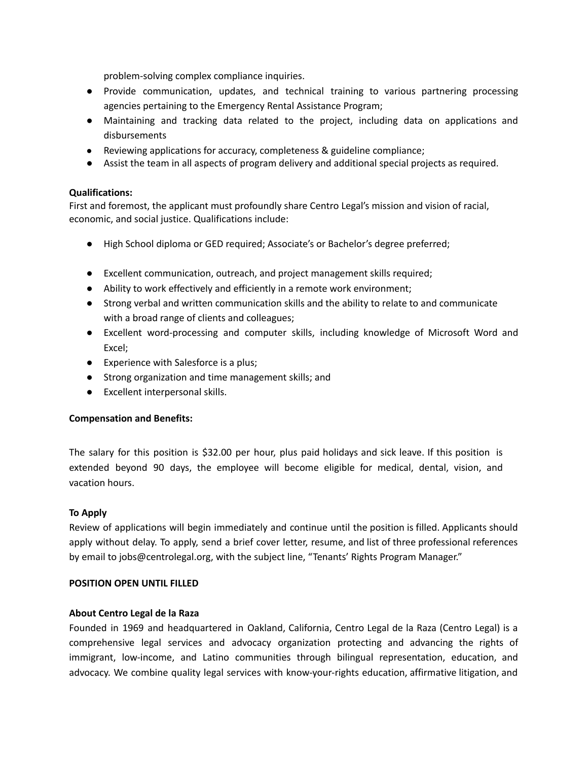problem-solving complex compliance inquiries.

- Provide communication, updates, and technical training to various partnering processing agencies pertaining to the Emergency Rental Assistance Program;
- Maintaining and tracking data related to the project, including data on applications and disbursements
- Reviewing applications for accuracy, completeness & guideline compliance;
- Assist the team in all aspects of program delivery and additional special projects as required.

# **Qualifications:**

First and foremost, the applicant must profoundly share Centro Legal's mission and vision of racial, economic, and social justice. Qualifications include:

- High School diploma or GED required; Associate's or Bachelor's degree preferred;
- Excellent communication, outreach, and project management skills required;
- Ability to work effectively and efficiently in a remote work environment;
- Strong verbal and written communication skills and the ability to relate to and communicate with a broad range of clients and colleagues;
- Excellent word-processing and computer skills, including knowledge of Microsoft Word and Excel;
- Experience with Salesforce is a plus;
- Strong organization and time management skills; and
- Excellent interpersonal skills.

## **Compensation and Benefits:**

The salary for this position is \$32.00 per hour, plus paid holidays and sick leave. If this position is extended beyond 90 days, the employee will become eligible for medical, dental, vision, and vacation hours.

## **To Apply**

Review of applications will begin immediately and continue until the position is filled. Applicants should apply without delay. To apply, send a brief cover letter, resume, and list of three professional references by email to jobs@centrolegal.org, with the subject line, "Tenants' Rights Program Manager."

## **POSITION OPEN UNTIL FILLED**

## **About Centro Legal de la Raza**

Founded in 1969 and headquartered in Oakland, California, Centro Legal de la Raza (Centro Legal) is a comprehensive legal services and advocacy organization protecting and advancing the rights of immigrant, low-income, and Latino communities through bilingual representation, education, and advocacy. We combine quality legal services with know-your-rights education, affirmative litigation, and